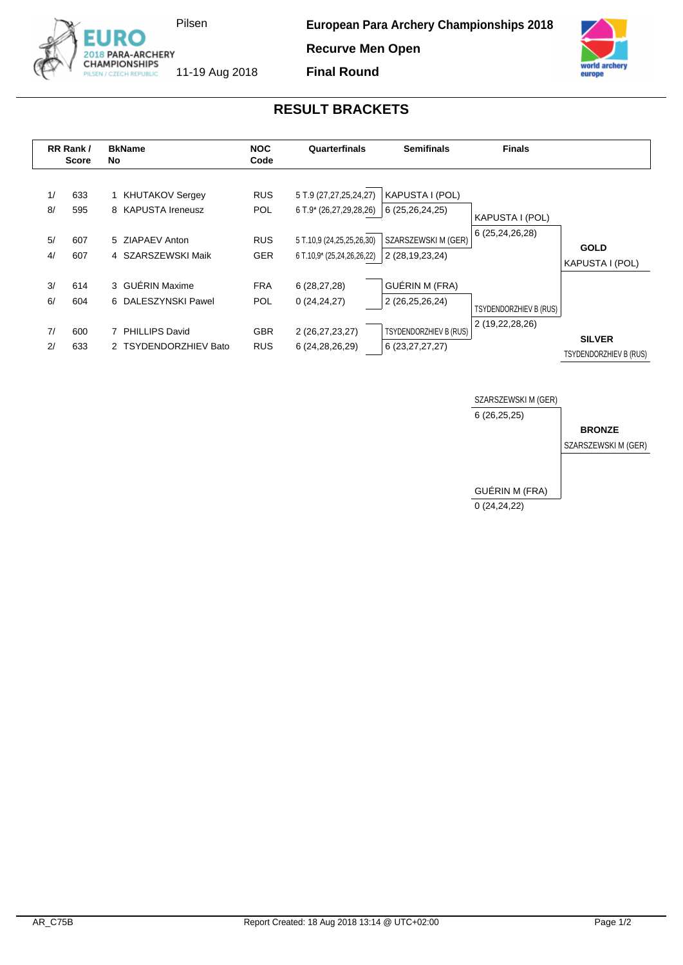

**Recurve Men Open**



11-19 Aug 2018

**RESULT BRACKETS**

**Final Round**